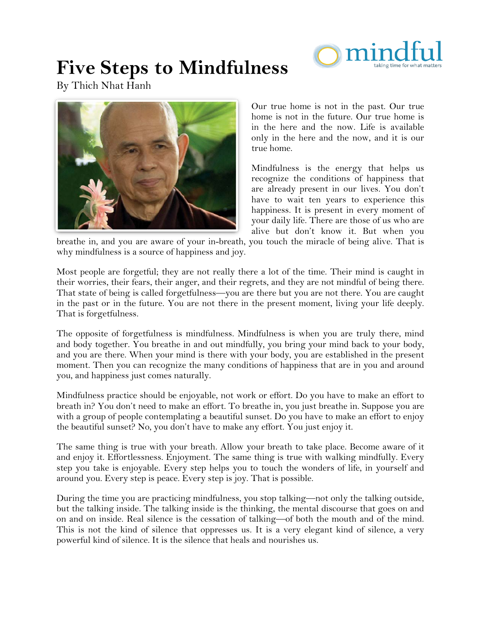

# **Five Steps to Mindfulness**

By Thich Nhat Hanh



Our true home is not in the past. Our true home is not in the future. Our true home is in the here and the now. Life is available only in the here and the now, and it is our true home.

Mindfulness is the energy that helps us recognize the conditions of happiness that are already present in our lives. You don't have to wait ten years to experience this happiness. It is present in every moment of your daily life. There are those of us who are alive but don't know it. But when you

breathe in, and you are aware of your in-breath, you touch the miracle of being alive. That is why mindfulness is a source of happiness and joy.

Most people are forgetful; they are not really there a lot of the time. Their mind is caught in their worries, their fears, their anger, and their regrets, and they are not mindful of being there. That state of being is called forgetfulness—you are there but you are not there. You are caught in the past or in the future. You are not there in the present moment, living your life deeply. That is forgetfulness.

The opposite of forgetfulness is mindfulness. Mindfulness is when you are truly there, mind and body together. You breathe in and out mindfully, you bring your mind back to your body, and you are there. When your mind is there with your body, you are established in the present moment. Then you can recognize the many conditions of happiness that are in you and around you, and happiness just comes naturally.

Mindfulness practice should be enjoyable, not work or effort. Do you have to make an effort to breath in? You don't need to make an effort. To breathe in, you just breathe in. Suppose you are with a group of people contemplating a beautiful sunset. Do you have to make an effort to enjoy the beautiful sunset? No, you don't have to make any effort. You just enjoy it.

The same thing is true with your breath. Allow your breath to take place. Become aware of it and enjoy it. Effortlessness. Enjoyment. The same thing is true with walking mindfully. Every step you take is enjoyable. Every step helps you to touch the wonders of life, in yourself and around you. Every step is peace. Every step is joy. That is possible.

During the time you are practicing mindfulness, you stop talking—not only the talking outside, but the talking inside. The talking inside is the thinking, the mental discourse that goes on and on and on inside. Real silence is the cessation of talking—of both the mouth and of the mind. This is not the kind of silence that oppresses us. It is a very elegant kind of silence, a very powerful kind of silence. It is the silence that heals and nourishes us.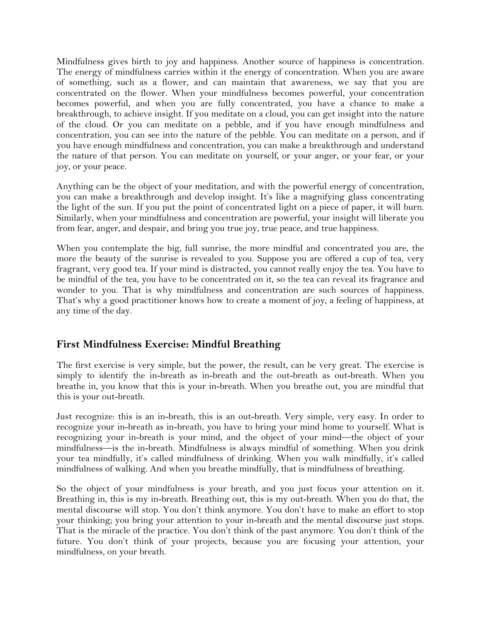Mindfulness gives birth to joy and happiness. Another source of happiness is concentration. The energy of mindfulness carries within it the energy of concentration. When you are aware of something, such as a flower, and can maintain that awareness, we say that you are concentrated on the flower. When your mindfulness becomes powerful, your concentration becomes powerful, and when you are fully concentrated, you have a chance to make a breakthrough, to achieve insight. If you meditate on a cloud, you can get insight into the nature of the cloud. Or you can meditate on a pebble, and if you have enough mindfulness and concentration, you can see into the nature of the pebble. You can meditate on a person, and if you have enough mindfulness and concentration, you can make a breakthrough and understand the nature of that person. You can meditate on yourself, or your anger, or your fear, or your joy, or your peace.

Anything can be the object of your meditation, and with the powerful energy of concentration, you can make a breakthrough and develop insight. It's like a magnifying glass concentrating the light of the sun. If you put the point of concentrated light on a piece of paper, it will burn. Similarly, when your mindfulness and concentration are powerful, your insight will liberate you from fear, anger, and despair, and bring you true joy, true peace, and true happiness.

When you contemplate the big, full sunrise, the more mindful and concentrated you are, the more the beauty of the sunrise is revealed to you. Suppose you are offered a cup of tea, very fragrant, very good tea. If your mind is distracted, you cannot really enjoy the tea. You have to be mindful of the tea, you have to be concentrated on it, so the tea can reveal its fragrance and wonder to you. That is why mindfulness and concentration are such sources of happiness. That's why a good practitioner knows how to create a moment of joy, a feeling of happiness, at any time of the day.

### **First Mindfulness Exercise: Mindful Breathing**

The first exercise is very simple, but the power, the result, can be very great. The exercise is simply to identify the in-breath as in-breath and the out-breath as out-breath. When you breathe in, you know that this is your in-breath. When you breathe out, you are mindful that this is your out-breath.

Just recognize: this is an in-breath, this is an out-breath. Very simple, very easy. In order to recognize your in-breath as in-breath, you have to bring your mind home to yourself. What is recognizing your in-breath is your mind, and the object of your mind—the object of your mindfulness—is the in-breath. Mindfulness is always mindful of something. When you drink your tea mindfully, it's called mindfulness of drinking. When you walk mindfully, it's called mindfulness of walking. And when you breathe mindfully, that is mindfulness of breathing.

So the object of your mindfulness is your breath, and you just focus your attention on it. Breathing in, this is my in-breath. Breathing out, this is my out-breath. When you do that, the mental discourse will stop. You don't think anymore. You don't have to make an effort to stop your thinking; you bring your attention to your in-breath and the mental discourse just stops. That is the miracle of the practice. You don't think of the past anymore. You don't think of the future. You don't think of your projects, because you are focusing your attention, your mindfulness, on your breath.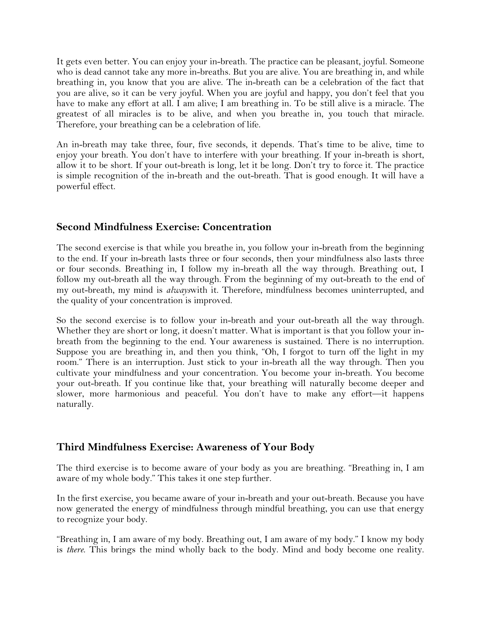It gets even better. You can enjoy your in-breath. The practice can be pleasant, joyful. Someone who is dead cannot take any more in-breaths. But you are alive. You are breathing in, and while breathing in, you know that you are alive. The in-breath can be a celebration of the fact that you are alive, so it can be very joyful. When you are joyful and happy, you don't feel that you have to make any effort at all. I am alive; I am breathing in. To be still alive is a miracle. The greatest of all miracles is to be alive, and when you breathe in, you touch that miracle. Therefore, your breathing can be a celebration of life.

An in-breath may take three, four, five seconds, it depends. That's time to be alive, time to enjoy your breath. You don't have to interfere with your breathing. If your in-breath is short, allow it to be short. If your out-breath is long, let it be long. Don't try to force it. The practice is simple recognition of the in-breath and the out-breath. That is good enough. It will have a powerful effect.

## **Second Mindfulness Exercise: Concentration**

The second exercise is that while you breathe in, you follow your in-breath from the beginning to the end. If your in-breath lasts three or four seconds, then your mindfulness also lasts three or four seconds. Breathing in, I follow my in-breath all the way through. Breathing out, I follow my out-breath all the way through. From the beginning of my out-breath to the end of my out-breath, my mind is *always*with it. Therefore, mindfulness becomes uninterrupted, and the quality of your concentration is improved.

So the second exercise is to follow your in-breath and your out-breath all the way through. Whether they are short or long, it doesn't matter. What is important is that you follow your inbreath from the beginning to the end. Your awareness is sustained. There is no interruption. Suppose you are breathing in, and then you think, "Oh, I forgot to turn off the light in my room." There is an interruption. Just stick to your in-breath all the way through. Then you cultivate your mindfulness and your concentration. You become your in-breath. You become your out-breath. If you continue like that, your breathing will naturally become deeper and slower, more harmonious and peaceful. You don't have to make any effort—it happens naturally.

### **Third Mindfulness Exercise: Awareness of Your Body**

The third exercise is to become aware of your body as you are breathing. "Breathing in, I am aware of my whole body." This takes it one step further.

In the first exercise, you became aware of your in-breath and your out-breath. Because you have now generated the energy of mindfulness through mindful breathing, you can use that energy to recognize your body.

"Breathing in, I am aware of my body. Breathing out, I am aware of my body." I know my body is *there*. This brings the mind wholly back to the body. Mind and body become one reality.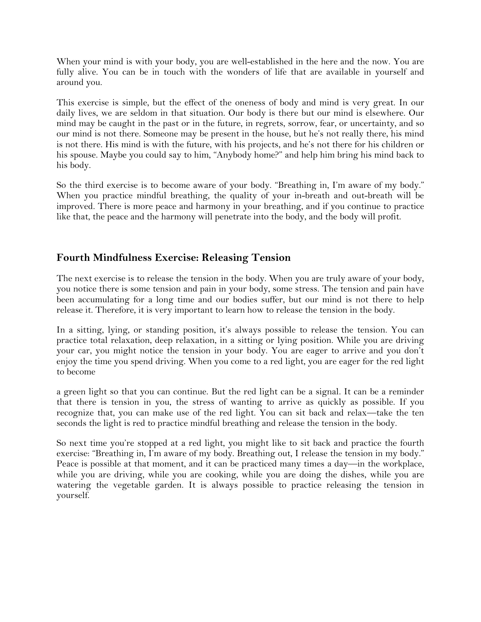When your mind is with your body, you are well-established in the here and the now. You are fully alive. You can be in touch with the wonders of life that are available in yourself and around you.

This exercise is simple, but the effect of the oneness of body and mind is very great. In our daily lives, we are seldom in that situation. Our body is there but our mind is elsewhere. Our mind may be caught in the past or in the future, in regrets, sorrow, fear, or uncertainty, and so our mind is not there. Someone may be present in the house, but he's not really there, his mind is not there. His mind is with the future, with his projects, and he's not there for his children or his spouse. Maybe you could say to him, "Anybody home?" and help him bring his mind back to his body.

So the third exercise is to become aware of your body. "Breathing in, I'm aware of my body." When you practice mindful breathing, the quality of your in-breath and out-breath will be improved. There is more peace and harmony in your breathing, and if you continue to practice like that, the peace and the harmony will penetrate into the body, and the body will profit.

## **Fourth Mindfulness Exercise: Releasing Tension**

The next exercise is to release the tension in the body. When you are truly aware of your body, you notice there is some tension and pain in your body, some stress. The tension and pain have been accumulating for a long time and our bodies suffer, but our mind is not there to help release it. Therefore, it is very important to learn how to release the tension in the body.

In a sitting, lying, or standing position, it's always possible to release the tension. You can practice total relaxation, deep relaxation, in a sitting or lying position. While you are driving your car, you might notice the tension in your body. You are eager to arrive and you don't enjoy the time you spend driving. When you come to a red light, you are eager for the red light to become

a green light so that you can continue. But the red light can be a signal. It can be a reminder that there is tension in you, the stress of wanting to arrive as quickly as possible. If you recognize that, you can make use of the red light. You can sit back and relax—take the ten seconds the light is red to practice mindful breathing and release the tension in the body.

So next time you're stopped at a red light, you might like to sit back and practice the fourth exercise: "Breathing in, I'm aware of my body. Breathing out, I release the tension in my body." Peace is possible at that moment, and it can be practiced many times a day—in the workplace, while you are driving, while you are cooking, while you are doing the dishes, while you are watering the vegetable garden. It is always possible to practice releasing the tension in yourself.